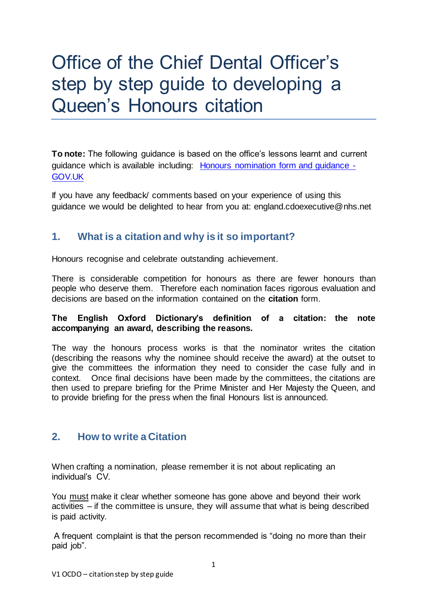# Office of the Chief Dental Officer's step by step guide to developing a Queen's Honours citation

**To note:** The following guidance is based on the office's lessons learnt and current guidance which is available including: [Honours nomination form and guidance -](https://www.gov.uk/government/publications/new-years-honours-nomination-form-and-guidance) [GOV.UK](https://www.gov.uk/government/publications/new-years-honours-nomination-form-and-guidance)

If you have any feedback/ comments based on your experience of using this guidance we would be delighted to hear from you at: england.cdoexecutive@nhs.net

### **1. What is a citation and why is it so important?**

Honours recognise and celebrate outstanding achievement.

There is considerable competition for honours as there are fewer honours than people who deserve them. Therefore each nomination faces rigorous evaluation and decisions are based on the information contained on the **citation** form.

### **The English Oxford Dictionary's definition of a citation: the note accompanying an award, describing the reasons.**

The way the honours process works is that the nominator writes the citation (describing the reasons why the nominee should receive the award) at the outset to give the committees the information they need to consider the case fully and in context. Once final decisions have been made by the committees, the citations are then used to prepare briefing for the Prime Minister and Her Majesty the Queen, and to provide briefing for the press when the final Honours list is announced.

### **2. How to write a Citation**

When crafting a nomination, please remember it is not about replicating an individual's CV.

You must make it clear whether someone has gone above and beyond their work activities – if the committee is unsure, they will assume that what is being described is paid activity.

A frequent complaint is that the person recommended is "doing no more than their paid job".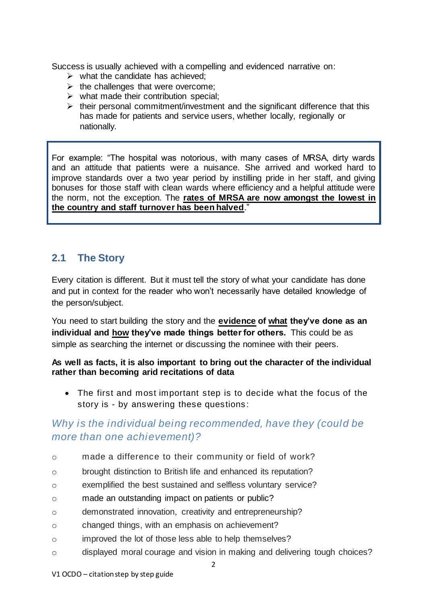Success is usually achieved with a compelling and evidenced narrative on:

- $\triangleright$  what the candidate has achieved:
- $\triangleright$  the challenges that were overcome:
- $\triangleright$  what made their contribution special;
- $\triangleright$  their personal commitment/investment and the significant difference that this has made for patients and service users, whether locally, regionally or nationally.

For example: "The hospital was notorious, with many cases of MRSA, dirty wards and an attitude that patients were a nuisance. She arrived and worked hard to improve standards over a two year period by instilling pride in her staff, and giving bonuses for those staff with clean wards where efficiency and a helpful attitude were the norm, not the exception. The **rates of MRSA are now amongst the lowest in the country and staff turnover has been halved**."

### **2.1 The Story**

Every citation is different. But it must tell the story of what your candidate has done and put in context for the reader who won't necessarily have detailed knowledge of the person/subject.

You need to start building the story and the **evidence of what they've done as an individual and how they've made things better for others.** This could be as simple as searching the internet or discussing the nominee with their peers.

### **As well as facts, it is also important to bring out the character of the individual rather than becoming arid recitations of data**

• The first and most important step is to decide what the focus of the story is - by answering these questions :

### *Why is the individual being recommended, have they (could be more than one achievement)?*

- o made a difference to their community or field of work?
- o brought distinction to British life and enhanced its reputation?
- o exemplified the best sustained and selfless voluntary service?
- o made an outstanding impact on patients or public?
- o demonstrated innovation, creativity and entrepreneurship?
- o changed things, with an emphasis on achievement?
- o improved the lot of those less able to help themselves?
- o displayed moral courage and vision in making and delivering tough choices?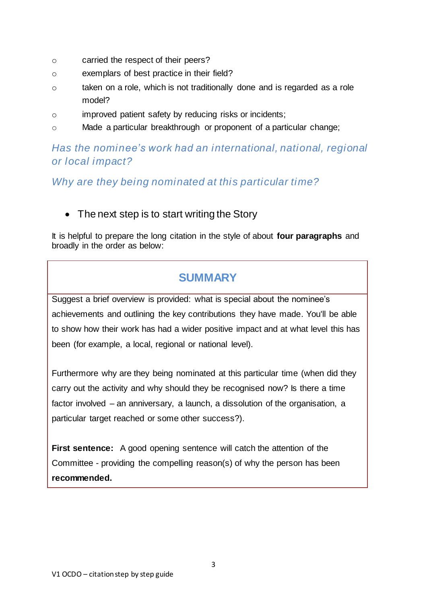- o carried the respect of their peers?
- o exemplars of best practice in their field?
- o taken on a role, which is not traditionally done and is regarded as a role model?
- o improved patient safety by reducing risks or incidents;
- o Made a particular breakthrough or proponent of a particular change;

### *Has the nominee's work had an international, national, regional or local impact?*

*Why are they being nominated at this particular time?*

• The next step is to start writing the Story

It is helpful to prepare the long citation in the style of about **four paragraphs** and broadly in the order as below:

## **SUMMARY**

Suggest a brief overview is provided: what is special about the nominee's achievements and outlining the key contributions they have made. You'll be able to show how their work has had a wider positive impact and at what level this has been (for example, a local, regional or national level).

Furthermore why are they being nominated at this particular time (when did they carry out the activity and why should they be recognised now? Is there a time factor involved – an anniversary, a launch, a dissolution of the organisation, a particular target reached or some other success?).

**First sentence:** A good opening sentence will catch the attention of the Committee - providing the compelling reason(s) of why the person has been **recommended.**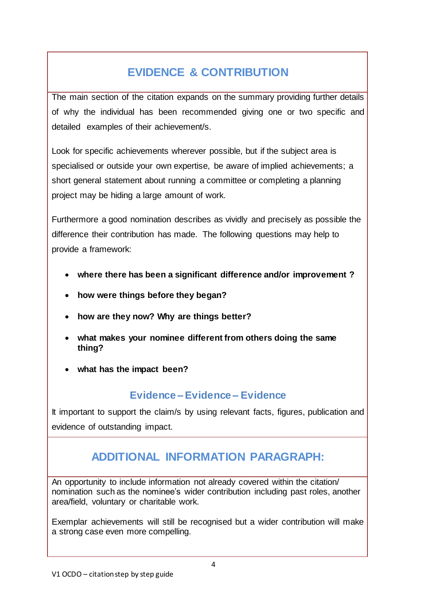# **EVIDENCE & CONTRIBUTION**

The main section of the citation expands on the summary providing further details of why the individual has been recommended giving one or two specific and detailed examples of their achievement/s.

Look for specific achievements wherever possible, but if the subject area is specialised or outside your own expertise, be aware of implied achievements; a short general statement about running a committee or completing a planning project may be hiding a large amount of work.

Furthermore a good nomination describes as vividly and precisely as possible the difference their contribution has made. The following questions may help to provide a framework:

- **where there has been a significant difference and/or improvement ?**
- **how were things before they began?**
- **how are they now? Why are things better?**
- **what makes your nominee different from others doing the same thing?**
- **what has the impact been?**

### **Evidence – Evidence – Evidence**

It important to support the claim/s by using relevant facts, figures, publication and evidence of outstanding impact.

# **ADDITIONAL INFORMATION PARAGRAPH:**

An opportunity to include information not already covered within the citation/ nomination such as the nominee's wider contribution including past roles, another area/field, voluntary or charitable work.

Exemplar achievements will still be recognised but a wider contribution will make a strong case even more compelling.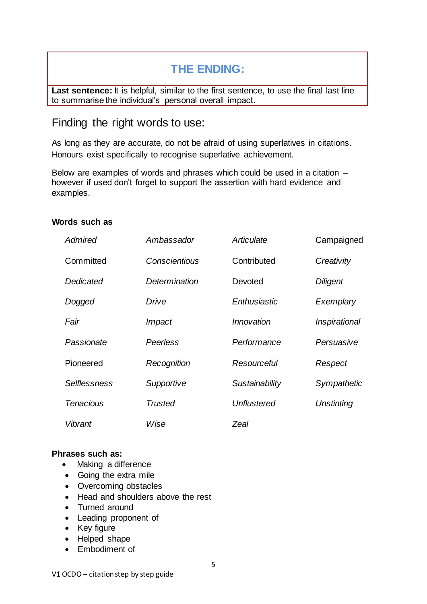## **THE ENDING:**

Last sentence: It is helpful, similar to the first sentence, to use the final last line to summarise the individual's personal overall impact.

### Finding the right words to use:

As long as they are accurate, do not be afraid of using superlatives in citations. Honours exist specifically to recognise superlative achievement.

Below are examples of words and phrases which could be used in a citation – however if used don't forget to support the assertion with hard evidence and examples.

#### **Words such as**

| Admired          | Ambassador     | Articulate     | Campaigned        |
|------------------|----------------|----------------|-------------------|
| Committed        | Conscientious  | Contributed    | Creativity        |
| Dedicated        | Determination  | Devoted        | <b>Diligent</b>   |
| Dogged           | Drive          | Enthusiastic   | Exemplary         |
| Fair             | Impact         | Innovation     | Inspirational     |
| Passionate       | Peerless       | Performance    | Persuasive        |
| Pioneered        | Recognition    | Resourceful    | Respect           |
| Selflessness     | Supportive     | Sustainability | Sympathetic       |
| <b>Tenacious</b> | <b>Trusted</b> | Unflustered    | <b>Unstinting</b> |
| Vibrant          | Wise           | Zeal           |                   |

#### **Phrases such as:**

- Making a difference
- Going the extra mile
- Overcoming obstacles
- Head and shoulders above the rest
- Turned around
- Leading proponent of
- Key figure
- Helped shape
- Embodiment of

5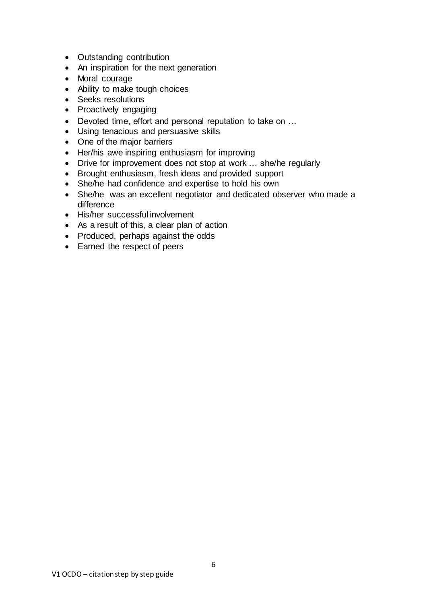- Outstanding contribution
- An inspiration for the next generation
- Moral courage
- Ability to make tough choices
- Seeks resolutions
- Proactively engaging
- Devoted time, effort and personal reputation to take on …
- Using tenacious and persuasive skills
- One of the major barriers
- Her/his awe inspiring enthusiasm for improving
- Drive for improvement does not stop at work … she/he regularly
- Brought enthusiasm, fresh ideas and provided support
- She/he had confidence and expertise to hold his own
- She/he was an excellent negotiator and dedicated observer who made a difference
- His/her successful involvement
- As a result of this, a clear plan of action
- Produced, perhaps against the odds
- Earned the respect of peers